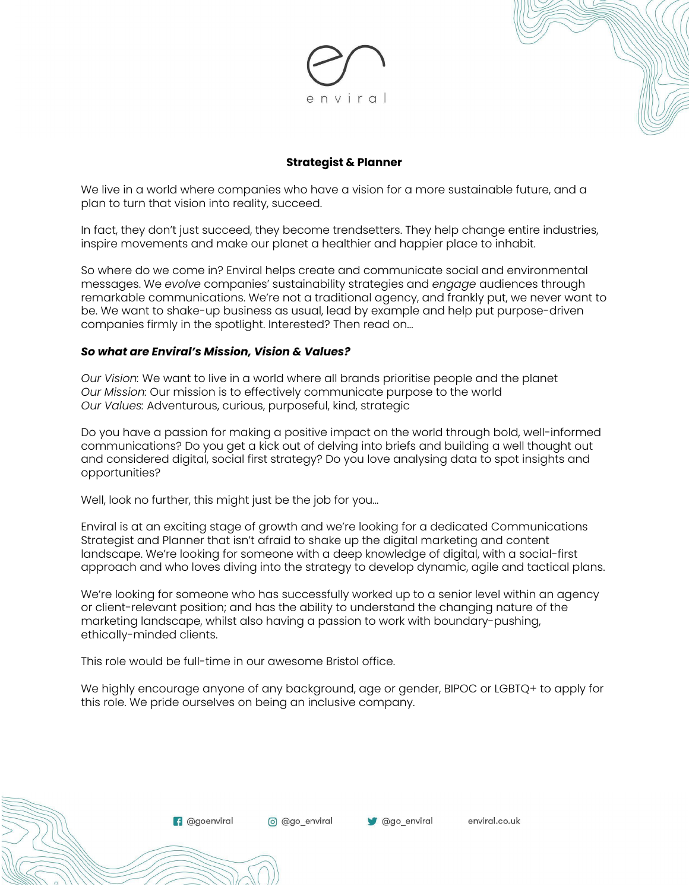

#### **Strategist & Planner**

We live in a world where companies who have a vision for a more sustainable future, and a plan to turn that vision into reality, succeed.

In fact, they don't just succeed, they become trendsetters. They help change entire industries, inspire movements and make our planet a healthier and happier place to inhabit.

So where do we come in? Enviral helps create and communicate social and environmental messages. We *evolve* companies' sustainability strategies and *engage* audiences through remarkable communications. We're not a traditional agency, and frankly put, we never want to be. We want to shake-up business as usual, lead by example and help put purpose-driven companies firmly in the spotlight. Interested? Then read on...

#### *So what are Enviral's Mission, Vision & Values?*

*Our Vision:* We want to live in a world where all brands prioritise people and the planet *Our Mission:* Our mission is to effectively communicate purpose to the world *Our Values:* Adventurous, curious, purposeful, kind, strategic

Do you have a passion for making a positive impact on the world through bold, well-informed communications? Do you get a kick out of delving into briefs and building a well thought out and considered digital, social first strategy? Do you love analysing data to spot insights and opportunities?

Well, look no further, this might just be the job for you…

Enviral is at an exciting stage of growth and we're looking for a dedicated Communications Strategist and Planner that isn't afraid to shake up the digital marketing and content landscape. We're looking for someone with a deep knowledge of digital, with a social-first approach and who loves diving into the strategy to develop dynamic, agile and tactical plans.

We're looking for someone who has successfully worked up to a senior level within an agency or client-relevant position; and has the ability to understand the changing nature of the marketing landscape, whilst also having a passion to work with boundary-pushing, ethically-minded clients.

This role would be full-time in our awesome Bristol office.

**f** @goenviral

We highly encourage anyone of any background, age or gender, BIPOC or LGBTQ+ to apply for this role. We pride ourselves on being an inclusive company.

ago enviral

enviral.co.uk

o @go\_enviral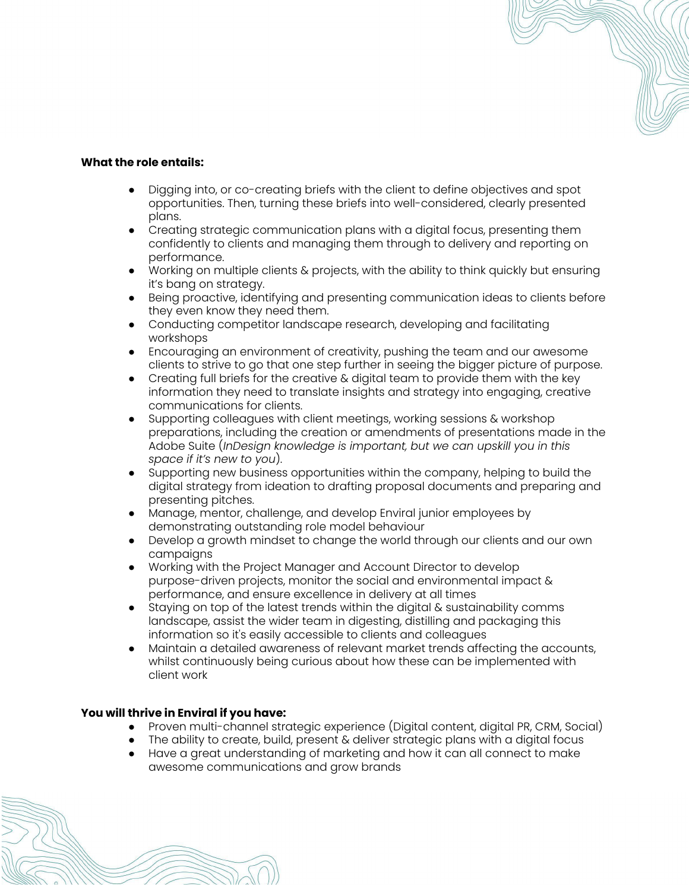#### **What the role entails:**

- Digging into, or co-creating briefs with the client to define objectives and spot opportunities. Then, turning these briefs into well-considered, clearly presented plans.
- Creating strategic communication plans with a digital focus, presenting them confidently to clients and managing them through to delivery and reporting on performance.
- Working on multiple clients & projects, with the ability to think quickly but ensuring it's bang on strategy.
- Being proactive, identifying and presenting communication ideas to clients before they even know they need them.
- Conducting competitor landscape research, developing and facilitating workshops
- Encouraging an environment of creativity, pushing the team and our awesome clients to strive to go that one step further in seeing the bigger picture of purpose.
- Creating full briefs for the creative & digital team to provide them with the key information they need to translate insights and strategy into engaging, creative communications for clients.
- Supporting colleagues with client meetings, working sessions & workshop preparations, including the creation or amendments of presentations made in the Adobe Suite (*InDesign knowledge is important, but we can upskill you in this space if it's new to you*).
- Supporting new business opportunities within the company, helping to build the digital strategy from ideation to drafting proposal documents and preparing and presenting pitches.
- Manage, mentor, challenge, and develop Enviral junior employees by demonstrating outstanding role model behaviour
- Develop a growth mindset to change the world through our clients and our own campaigns
- Working with the Project Manager and Account Director to develop purpose-driven projects, monitor the social and environmental impact & performance, and ensure excellence in delivery at all times
- Staying on top of the latest trends within the digital & sustainability comms landscape, assist the wider team in digesting, distilling and packaging this information so it's easily accessible to clients and colleagues
- Maintain a detailed awareness of relevant market trends affecting the accounts, whilst continuously being curious about how these can be implemented with client work

# **You will thrive in Enviral if you have:**

- Proven multi-channel strategic experience (Digital content, digital PR, CRM, Social)
- The ability to create, build, present & deliver strategic plans with a digital focus
- Have a great understanding of marketing and how it can all connect to make awesome communications and grow brands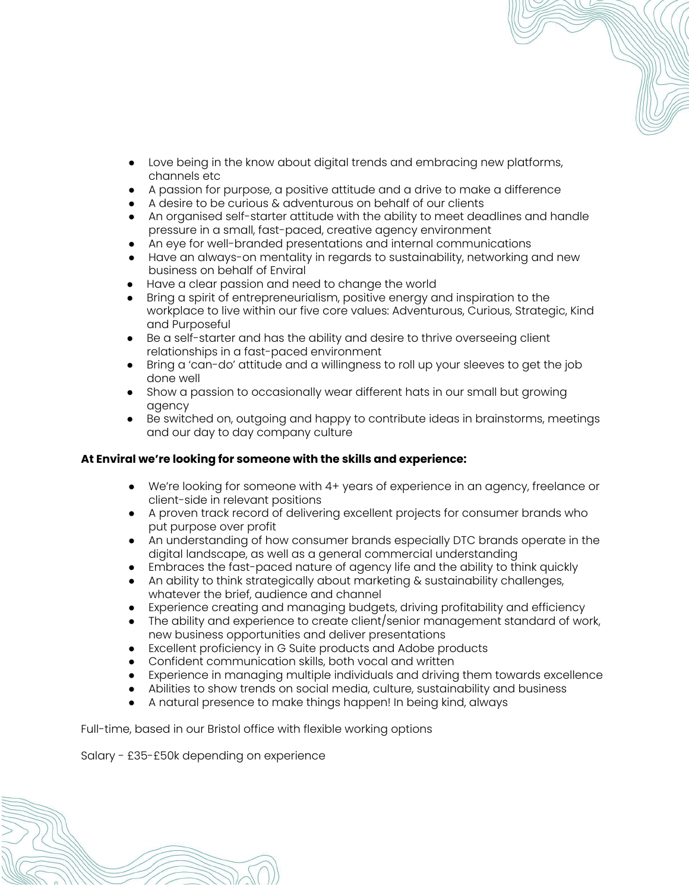- Love being in the know about digital trends and embracing new platforms, channels etc
- A passion for purpose, a positive attitude and a drive to make a difference
- A desire to be curious & adventurous on behalf of our clients
- An organised self-starter attitude with the ability to meet deadlines and handle pressure in a small, fast-paced, creative agency environment
- An eye for well-branded presentations and internal communications
- Have an always-on mentality in regards to sustainability, networking and new business on behalf of Enviral
- Have a clear passion and need to change the world
- Bring a spirit of entrepreneurialism, positive energy and inspiration to the workplace to live within our five core values: Adventurous, Curious, Strategic, Kind and Purposeful
- Be a self-starter and has the ability and desire to thrive overseeing client relationships in a fast-paced environment
- Bring a 'can-do' attitude and a willingness to roll up your sleeves to get the job done well
- Show a passion to occasionally wear different hats in our small but growing agency
- Be switched on, outgoing and happy to contribute ideas in brainstorms, meetings and our day to day company culture

# **At Enviral we're looking for someone with the skills and experience:**

- We're looking for someone with 4+ years of experience in an agency, freelance or client-side in relevant positions
- A proven track record of delivering excellent projects for consumer brands who put purpose over profit
- An understanding of how consumer brands especially DTC brands operate in the digital landscape, as well as a general commercial understanding
- Embraces the fast-paced nature of agency life and the ability to think quickly
- An ability to think strategically about marketing & sustainability challenges, whatever the brief, audience and channel
- Experience creating and managing budgets, driving profitability and efficiency
- The ability and experience to create client/senior management standard of work, new business opportunities and deliver presentations
- Excellent proficiency in G Suite products and Adobe products
- Confident communication skills, both vocal and written
- Experience in managing multiple individuals and driving them towards excellence
- Abilities to show trends on social media, culture, sustainability and business
- A natural presence to make things happen! In being kind, always

Full-time, based in our Bristol office with flexible working options

Salary - £35-£50k depending on experience